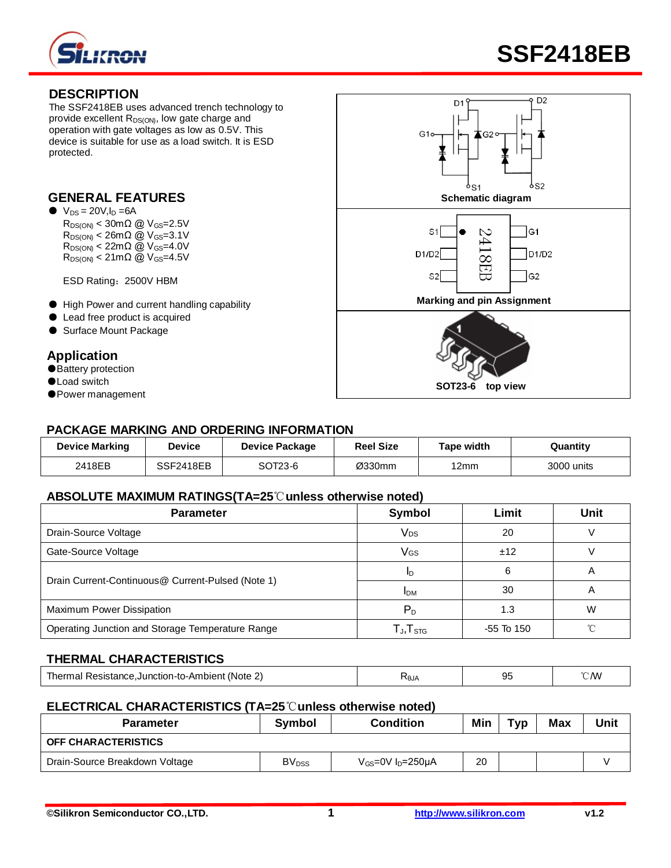

# **DESCRIPTION**

The SSF2418EB uses advanced trench technology to provide excellent  $R_{DS(ON)}$ , low gate charge and operation with gate voltages as low as 0.5V. This device is suitable for use as a load switch. It is ESD protected.

# **GENERAL FEATURES**

- $\bullet\ \text{V}_{\text{DS}} = 20 \text{V}, l_{\text{D}} = 6 \text{A}$ 
	- $R_{DS(ON)} < 30 \text{m}\Omega$  @  $V_{GS} = 2.5 V$  $R_{DS(ON)} < 26 \text{m}\Omega$  @  $V_{GS} = 3.1 \text{V}$  $R_{DS(ON)} < 22 \text{m}\Omega$  @ V<sub>GS</sub>=4.0V  $R_{DS(ON)} < 21 \text{m}\Omega$  @  $V_{GS} = 4.5 V$

ESD Rating:2500V HBM

- High Power and current handling capability
- Lead free product is acquired
- Surface Mount Package

# **Application**

- Battery protection
- ●Load switch
- ●Power management



### **PACKAGE MARKING AND ORDERING INFORMATION**

| <b>Device Marking</b> | <b>Device</b> | <b>Device Package</b> | <b>Reel Size</b> | Tape width | Quantity   |
|-----------------------|---------------|-----------------------|------------------|------------|------------|
| 2418EB                | SSF2418EB     | SOT23-6               | Ø330mm           | 12mm       | 3000 units |

### **ABSOLUTE MAXIMUM RATINGS(TA=25**℃**unless otherwise noted)**

| <b>Parameter</b>                                  | <b>Symbol</b>                                        | Limit        | Unit |
|---------------------------------------------------|------------------------------------------------------|--------------|------|
| Drain-Source Voltage                              | Vps                                                  | 20           |      |
| Gate-Source Voltage                               | VGS                                                  | ±12          |      |
| Drain Current-Continuous@ Current-Pulsed (Note 1) | 6<br>ID                                              |              | A    |
|                                                   | <b>IDM</b>                                           | 30           | A    |
| Maximum Power Dissipation                         | $P_D$                                                | 1.3          | W    |
| Operating Junction and Storage Temperature Range  | $\mathsf{T}_{\mathsf{J}}, \mathsf{T}_{\mathsf{STG}}$ | $-55$ To 150 |      |

# **THERMAL CHARACTERISTICS**

| Resistance.Junction-to-Ambient<br>'Note<br> | ั∿0JA | ີ | CΜ |
|---------------------------------------------|-------|---|----|
|                                             |       |   |    |

### **ELECTRICAL CHARACTERISTICS (TA=25**℃**unless otherwise noted)**

| <b>Parameter</b>               | Symbol                   | <b>Condition</b>          | Min | Typ | <b>Max</b> | Unit |
|--------------------------------|--------------------------|---------------------------|-----|-----|------------|------|
| <b>OFF CHARACTERISTICS</b>     |                          |                           |     |     |            |      |
| Drain-Source Breakdown Voltage | <b>BV</b> <sub>DSS</sub> | $V_{GS}$ =0V $I_D$ =250µA | 20  |     |            |      |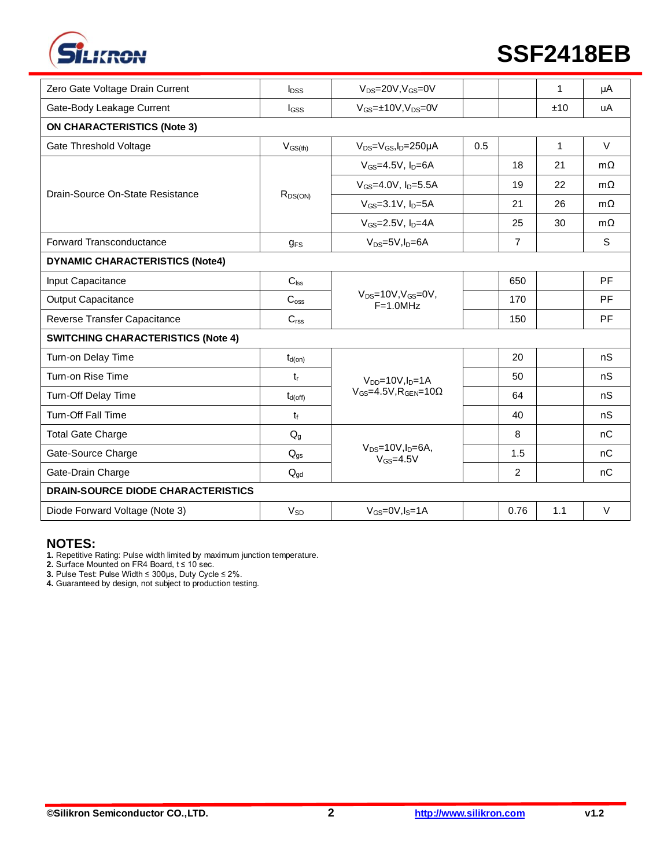

# **SSF2418EB**

| Zero Gate Voltage Drain Current           | $I_{DSS}$                | $V_{DS} = 20V$ , $V_{GS} = 0V$                   |     |                | 1            | μA           |  |  |
|-------------------------------------------|--------------------------|--------------------------------------------------|-----|----------------|--------------|--------------|--|--|
| Gate-Body Leakage Current                 | lgss                     | $V_{GS} = \pm 10V, V_{DS} = 0V$                  |     |                | ±10          | uA           |  |  |
| <b>ON CHARACTERISTICS (Note 3)</b>        |                          |                                                  |     |                |              |              |  |  |
| <b>Gate Threshold Voltage</b>             | $V_{GS(th)}$             | $V_{DS} = V_{GS}$ , $I_D = 250 \mu A$            | 0.5 |                | $\mathbf{1}$ | $\vee$       |  |  |
| Drain-Source On-State Resistance          | $R_{DS(ON)}$             | $V_{GS}$ =4.5V, $I_D$ =6A                        |     | 18             | 21           | $m\Omega$    |  |  |
|                                           |                          | $V_{GS} = 4.0 V, I_D = 5.5 A$                    |     | 19             | 22           | $m\Omega$    |  |  |
|                                           |                          | $V_{GS} = 3.1 V, I_D = 5A$                       |     | 21             | 26           | $m\Omega$    |  |  |
|                                           |                          | $V_{GS}$ =2.5V, $I_D$ =4A                        |     | 25             | 30           | $m\Omega$    |  |  |
| <b>Forward Transconductance</b>           | $g_{FS}$                 | $V_{DS}=5V, I_D=6A$                              |     | $\overline{7}$ |              | $\mathsf{s}$ |  |  |
| <b>DYNAMIC CHARACTERISTICS (Note4)</b>    |                          |                                                  |     |                |              |              |  |  |
| Input Capacitance                         | $C_{\text{lss}}$         |                                                  |     | 650            |              | PF           |  |  |
| <b>Output Capacitance</b>                 | C <sub>oss</sub>         | $V_{DS} = 10V, V_{GS} = 0V,$<br>$F=1.0MHz$       |     | 170            |              | <b>PF</b>    |  |  |
| Reverse Transfer Capacitance              | C <sub>rss</sub>         |                                                  |     | 150            |              | PF           |  |  |
| <b>SWITCHING CHARACTERISTICS (Note 4)</b> |                          |                                                  |     |                |              |              |  |  |
| Turn-on Delay Time                        | $t_{d(on)}$              |                                                  |     | 20             |              | nS           |  |  |
| Turn-on Rise Time                         | $t_{r}$                  | $V_{DD} = 10V$ , $I_D = 1A$                      |     | 50             |              | nS           |  |  |
| Turn-Off Delay Time                       | $t_{d(off)}$             | $V_{GS}$ =4.5V, R <sub>GEN</sub> =10 $\Omega$    |     | 64             |              | nS           |  |  |
| <b>Turn-Off Fall Time</b>                 | $t_{\rm f}$              |                                                  |     | 40             |              | nS           |  |  |
| <b>Total Gate Charge</b>                  | $Q_{q}$                  |                                                  |     | 8              |              | nC           |  |  |
| Gate-Source Charge                        | $Q_{gs}$                 | $V_{DS} = 10V$ , $I_D = 6A$ ,<br>$V_{GS} = 4.5V$ |     | 1.5            |              | nC           |  |  |
| Gate-Drain Charge                         | $\mathsf{Q}_{\text{gd}}$ |                                                  |     | $\overline{2}$ |              | nC           |  |  |
| <b>DRAIN-SOURCE DIODE CHARACTERISTICS</b> |                          |                                                  |     |                |              |              |  |  |
| Diode Forward Voltage (Note 3)            | $V_{SD}$                 | $V_{GS} = 0V, I_S = 1A$                          |     | 0.76           | 1.1          | V            |  |  |

### **NOTES:**

**1.** Repetitive Rating: Pulse width limited by maximum junction temperature.

**2.** Surface Mounted on FR4 Board, t ≤ 10 sec.

**3.** Pulse Test: Pulse Width ≤ 300μs, Duty Cycle ≤ 2%.

**4.** Guaranteed by design, not subject to production testing.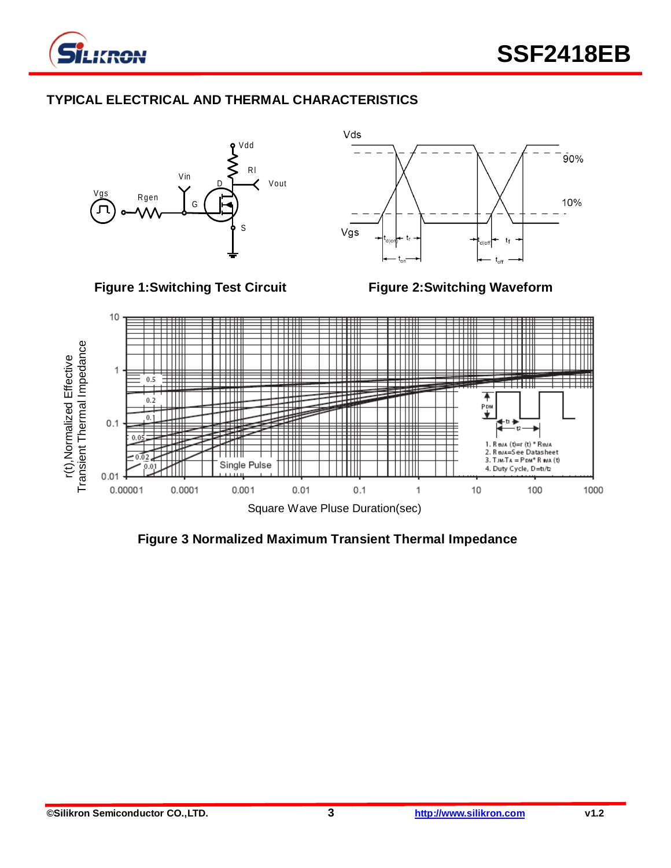

# **TYPICAL ELECTRICAL AND THERMAL CHARACTERISTICS**



**Figure 3 Normalized Maximum Transient Thermal Impedance**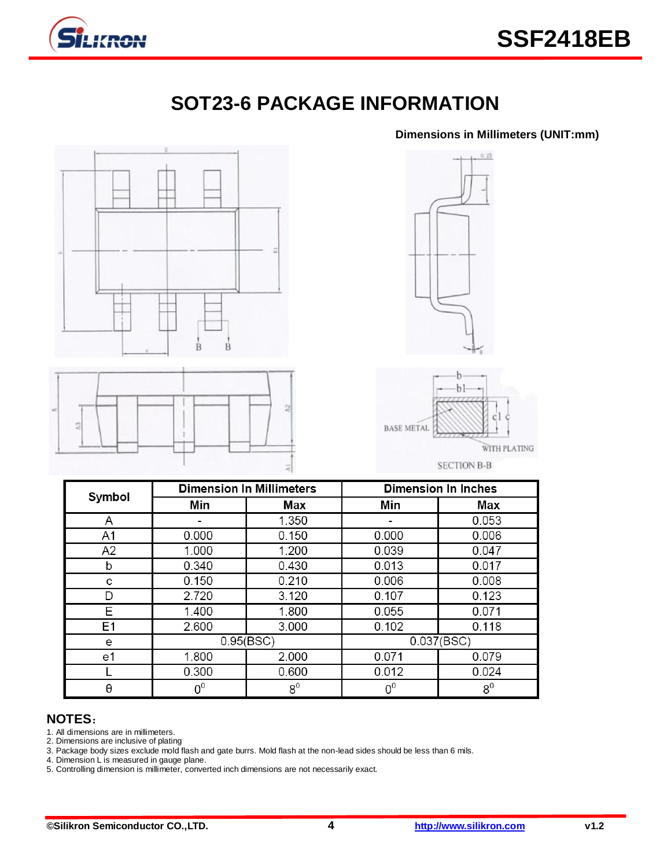

# **SOT23-6 PACKAGE INFORMATION**

#### **Dimensions in Millimeters (UNIT:mm)**



# **NOTES**:

1. All dimensions are in millimeters.

L  $\boldsymbol{\theta}$ 

2. Dimensions are inclusive of plating

3. Package body sizes exclude mold flash and gate burrs. Mold flash at the non-lead sides should be less than 6 mils.

0.600

 $8<sup>0</sup>$ 

4. Dimension L is measured in gauge plane.

5. Controlling dimension is millimeter, converted inch dimensions are not necessarily exact.

0.300

 $0<sup>0</sup>$ 

0.012

 $0<sup>0</sup>$ 

0.024

 $8<sup>0</sup>$